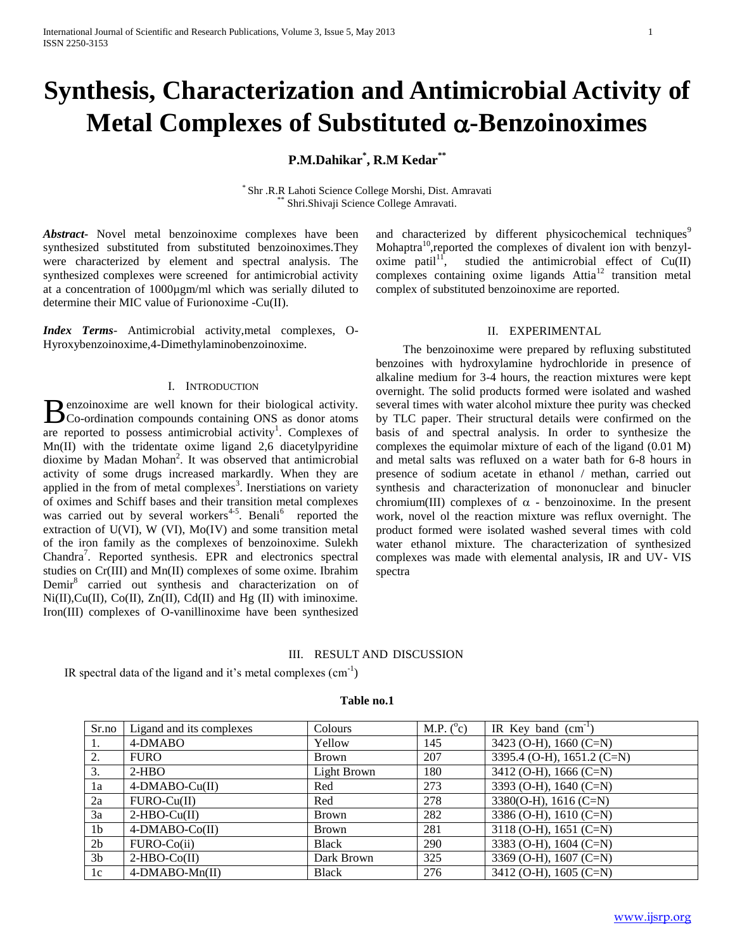# **Synthesis, Characterization and Antimicrobial Activity of Metal Complexes of Substituted α-Benzoinoximes**

## **P.M.Dahikar\* , R.M Kedar\*\***

\* Shr .R.R Lahoti Science College Morshi, Dist. Amravati Shri.Shivaji Science College Amravati.

*Abstract***-** Novel metal benzoinoxime complexes have been synthesized substituted from substituted benzoinoximes.They were characterized by element and spectral analysis. The synthesized complexes were screened for antimicrobial activity at a concentration of 1000µgm/ml which was serially diluted to determine their MIC value of Furionoxime -Cu(II).

*Index Terms*- Antimicrobial activity,metal complexes, O-Hyroxybenzoinoxime,4-Dimethylaminobenzoinoxime.

### I. INTRODUCTION

**P**enzoinoxime are well known for their biological activity. **B** enzoinoxime are well known for their biological activity.<br>Co-ordination compounds containing ONS as donor atoms are reported to possess antimicrobial activity<sup>1</sup>. Complexes of Mn(II) with the tridentate oxime ligand 2,6 diacetylpyridine dioxime by Madan Mohan<sup>2</sup>. It was observed that antimicrobial activity of some drugs increased markardly. When they are applied in the from of metal complexes<sup>3</sup>. Inerstiations on variety of oximes and Schiff bases and their transition metal complexes was carried out by several workers<sup>4-5</sup>. Benali<sup>6</sup> reported the extraction of U(VI), W (VI), Mo(IV) and some transition metal of the iron family as the complexes of benzoinoxime. Sulekh Chandra<sup>7</sup>. Reported synthesis. EPR and electronics spectral studies on Cr(III) and Mn(II) complexes of some oxime. Ibrahim Demir<sup>8</sup> carried out synthesis and characterization on of  $Ni(II), Cu(II), Co(II), Zn(II), Cd(II)$  and Hg (II) with iminoxime. Iron(III) complexes of O-vanillinoxime have been synthesized

and characterized by different physicochemical techniques<sup>9</sup> Mohaptra $^{10}$ , reported the complexes of divalent ion with benzyloxime patil<sup>11</sup>, studied the antimicrobial effect of  $Cu(II)$ complexes containing oxime ligands  $Attia<sup>12</sup>$  transition metal complex of substituted benzoinoxime are reported.

## II. EXPERIMENTAL

 The benzoinoxime were prepared by refluxing substituted benzoines with hydroxylamine hydrochloride in presence of alkaline medium for 3-4 hours, the reaction mixtures were kept overnight. The solid products formed were isolated and washed several times with water alcohol mixture thee purity was checked by TLC paper. Their structural details were confirmed on the basis of and spectral analysis. In order to synthesize the complexes the equimolar mixture of each of the ligand (0.01 M) and metal salts was refluxed on a water bath for 6-8 hours in presence of sodium acetate in ethanol / methan, carried out synthesis and characterization of mononuclear and binucler chromium(III) complexes of  $\alpha$  - benzoinoxime. In the present work, novel ol the reaction mixture was reflux overnight. The product formed were isolated washed several times with cold water ethanol mixture. The characterization of synthesized complexes was made with elemental analysis, IR and UV- VIS spectra

## III. RESULT AND DISCUSSION

IR spectral data of the ligand and it's metal complexes  $(cm<sup>-1</sup>)$ 

#### **Table no.1**

| Sr.no          | Ligand and its complexes | Colours      | M.P. $(^{\circ}c)$ | IR Key band $(cm^{-1})$    |
|----------------|--------------------------|--------------|--------------------|----------------------------|
| 1.             | 4-DMABO                  | Yellow       | 145                | 3423 (O-H), 1660 (C=N)     |
| 2.             | <b>FURO</b>              | <b>Brown</b> | 207                | 3395.4 (O-H), 1651.2 (C=N) |
| 3.             | $2-HBO$                  | Light Brown  | 180                | 3412 (O-H), 1666 (C=N)     |
| 1a             | 4-DMABO-Cu(II)           | Red          | 273                | 3393 (O-H), 1640 (C=N)     |
| 2a             | $FURO-Cu(II)$            | Red          | 278                | 3380(O-H), 1616 (C=N)      |
| 3a             | $2-HBO-Cu(II)$           | Brown        | 282                | 3386 (O-H), 1610 (C=N)     |
| 1 <sub>b</sub> | 4-DMABO-Co(II)           | Brown        | 281                | 3118 (O-H), 1651 (C=N)     |
| 2 <sub>b</sub> | FURO-Co(ii)              | <b>Black</b> | 290                | 3383 (O-H), 1604 (C=N)     |
| 3 <sub>b</sub> | $2-HBO-Co(II)$           | Dark Brown   | 325                | 3369 (O-H), 1607 (C=N)     |
| 1c             | $4-DMABO-Mn(II)$         | <b>Black</b> | 276                | 3412 (O-H), 1605 (C=N)     |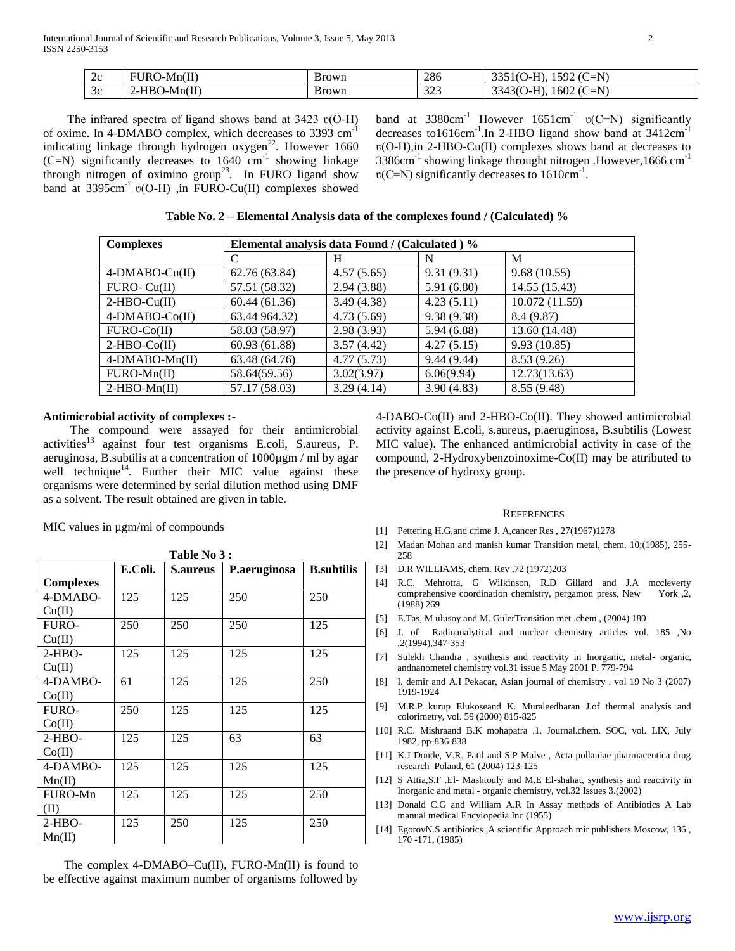| $\sim$<br>-<br>∠⊾ | <b>FIIR</b><br>$D-Mn(II)$<br>URO  | <b>Brown</b> | 286       | $\sim$<br>$-N$<br>502<br>$\sim$<br>ш.<br>.11<br>. .<br>. U <sup>-1</sup><br><b>TIME</b> |
|-------------------|-----------------------------------|--------------|-----------|-----------------------------------------------------------------------------------------|
| $\mathcal{C}$     | $SO-Mn(II)$<br>$\angle$ -HBC<br>∽ | Brown        | 222<br>ັ້ | $-N$<br>$\sim$<br>1602'<br>'اد4د<br>.<br>$\sim$<br>7 L T<br>ັ<br>ີ                      |

The infrared spectra of ligand shows band at  $3423 \text{ v}(\text{O-H})$ of oxime. In 4-DMABO complex, which decreases to 3393 cm-1 indicating linkage through hydrogen oxygen $^{22}$ . However 1660  $(C=N)$  significantly decreases to 1640  $cm^{-1}$  showing linkage through nitrogen of oximino group<sup>23</sup>. In FURO ligand show band at  $3395 \text{cm}^{-1}$  v(O-H) ,in FURO-Cu(II) complexes showed

band at  $3380 \text{cm}^{-1}$  However  $1651 \text{cm}^{-1}$  v(C=N) significantly decreases to1616cm<sup>-1</sup>.In 2-HBO ligand show band at 3412cm<sup>-1</sup> ʋ(O-H),in 2-HBO-Cu(II) complexes shows band at decreases to 3386 $cm<sup>-1</sup>$  showing linkage throught nitrogen .However, 1666  $cm<sup>-1</sup>$  $v(C=N)$  significantly decreases to 1610cm<sup>-1</sup>.

| Table No. 2 – Elemental Analysis data of the complexes found / (Calculated) % |  |  |  |
|-------------------------------------------------------------------------------|--|--|--|
|-------------------------------------------------------------------------------|--|--|--|

| <b>Complexes</b> | Elemental analysis data Found / (Calculated) % |            |            |                |  |  |
|------------------|------------------------------------------------|------------|------------|----------------|--|--|
|                  | C                                              | H          | N          | M              |  |  |
| 4-DMABO-Cu(II)   | 62.76 (63.84)                                  | 4.57(5.65) | 9.31(9.31) | 9.68(10.55)    |  |  |
| $FURO-Cu(II)$    | 57.51 (58.32)                                  | 2.94(3.88) | 5.91(6.80) | 14.55 (15.43)  |  |  |
| $2-HBO-Cu(II)$   | 60.44(61.36)                                   | 3.49(4.38) | 4.23(5.11) | 10.072 (11.59) |  |  |
| 4-DMABO-Co(II)   | 63.44 964.32)                                  | 4.73(5.69) | 9.38(9.38) | 8.4 (9.87)     |  |  |
| $FURO-Co(II)$    | 58.03 (58.97)                                  | 2.98(3.93) | 5.94(6.88) | 13.60 (14.48)  |  |  |
| $2-HBO-C0(II)$   | 60.93 (61.88)                                  | 3.57(4.42) | 4.27(5.15) | 9.93(10.85)    |  |  |
| 4-DMABO-Mn(II)   | 63.48 (64.76)                                  | 4.77(5.73) | 9.44(9.44) | 8.53(9.26)     |  |  |
| $FURO-Mn(II)$    | 58.64(59.56)                                   | 3.02(3.97) | 6.06(9.94) | 12.73(13.63)   |  |  |
| $2-HBO-Mn(II)$   | 57.17 (58.03)                                  | 3.29(4.14) | 3.90(4.83) | 8.55 (9.48)    |  |  |

#### **Antimicrobial activity of complexes :-**

 The compound were assayed for their antimicrobial activities<sup>13</sup> against four test organisms E.coli, S.aureus, P. aeruginosa, B.subtilis at a concentration of 1000µgm / ml by agar well technique<sup>14</sup>. Further their MIC value against these organisms were determined by serial dilution method using DMF as a solvent. The result obtained are given in table.

MIC values in  $\mu$ gm/ml of compounds

| Table No 3:<br>E.Coli.<br>P.aeruginosa<br><b>B.subtilis</b><br><b>S.aureus</b> |     |     |     |     |  |  |
|--------------------------------------------------------------------------------|-----|-----|-----|-----|--|--|
| <b>Complexes</b>                                                               |     |     |     |     |  |  |
| 4-DMABO-                                                                       | 125 | 125 | 250 | 250 |  |  |
| Cu(II)                                                                         |     |     |     |     |  |  |
| <b>FURO-</b>                                                                   | 250 | 250 | 250 | 125 |  |  |
| Cu(II)                                                                         |     |     |     |     |  |  |
| $2-HBO-$                                                                       | 125 | 125 | 125 | 125 |  |  |
| Cu(II)                                                                         |     |     |     |     |  |  |
| 4-DAMBO-                                                                       | 61  | 125 | 125 | 250 |  |  |
| Co(II)                                                                         |     |     |     |     |  |  |
| <b>FURO-</b>                                                                   | 250 | 125 | 125 | 125 |  |  |
| Co(II)                                                                         |     |     |     |     |  |  |
| $2-HBO-$                                                                       | 125 | 125 | 63  | 63  |  |  |
| Co(II)                                                                         |     |     |     |     |  |  |
| 4-DAMBO-                                                                       | 125 | 125 | 125 | 125 |  |  |
| Mn(II)                                                                         |     |     |     |     |  |  |
| FURO-Mn                                                                        | 125 | 125 | 125 | 250 |  |  |
| (II)                                                                           |     |     |     |     |  |  |
| $2-HBO-$                                                                       | 125 | 250 | 125 | 250 |  |  |
| Mn(II)                                                                         |     |     |     |     |  |  |

 The complex 4-DMABO–Cu(II), FURO-Mn(II) is found to be effective against maximum number of organisms followed by 4-DABO-Co(II) and 2-HBO-Co(II). They showed antimicrobial activity against E.coli, s.aureus, p.aeruginosa, B.subtilis (Lowest MIC value). The enhanced antimicrobial activity in case of the compound, 2-Hydroxybenzoinoxime-Co(II) may be attributed to the presence of hydroxy group.

#### **REFERENCES**

- [1] Pettering H.G.and crime J. A,cancer Res , 27(1967)1278
- [2] Madan Mohan and manish kumar Transition metal, chem. 10;(1985), 255- 258
- [3] D.R WILLIAMS, chem. Rev ,72 (1972)203
- [4] R.C. Mehrotra, G Wilkinson, R.D Gillard and J.A mccleverty comprehensive coordination chemistry, pergamon press, New York ,2, (1988) 269
- [5] E.Tas, M ulusoy and M. GulerTransition met .chem., (2004) 180
- [6] J. of Radioanalytical and nuclear chemistry articles vol. 185 ,No .2(1994),347-353
- [7] Sulekh Chandra , synthesis and reactivity in Inorganic, metal- organic, andnanometel chemistry vol.31 issue 5 May 2001 P. 779-794
- [8] I. demir and A.I Pekacar, Asian journal of chemistry . vol 19 No 3 (2007) 1919-1924
- [9] M.R.P kurup Elukoseand K. Muraleedharan J.of thermal analysis and colorimetry, vol. 59 (2000) 815-825
- [10] R.C. Mishraand B.K mohapatra .1. Journal.chem. SOC, vol. LIX, July 1982, pp-836-838
- [11] K.J Donde, V.R. Patil and S.P Malve , Acta pollaniae pharmaceutica drug research Poland, 61 (2004) 123-125
- [12] S Attia, S.F .El- Mashtouly and M.E El-shahat, synthesis and reactivity in Inorganic and metal - organic chemistry, vol.32 Issues 3.(2002)
- [13] Donald C.G and William A.R In Assay methods of Antibiotics A Lab manual medical Encyiopedia Inc (1955)
- [14] EgorovN.S antibiotics ,A scientific Approach mir publishers Moscow, 136 , 170 -171, (1985)